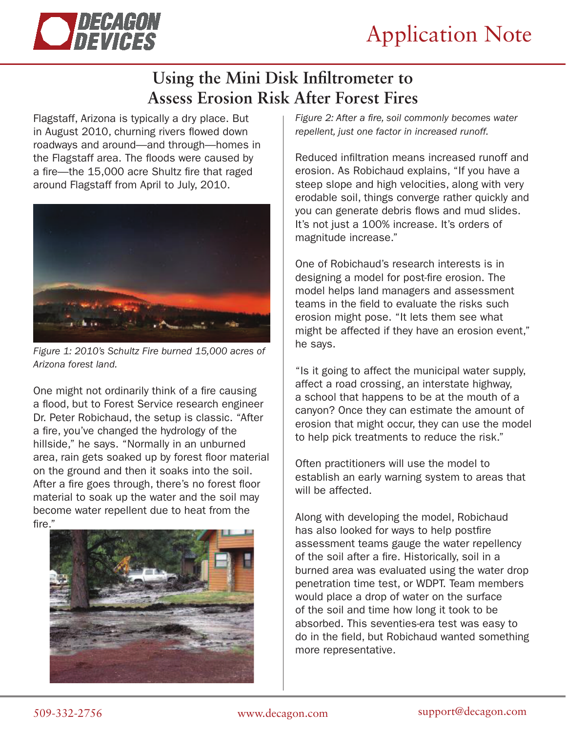

## **Using the Mini Disk Infiltrometer to Assess Erosion Risk After Forest Fires**

Flagstaff, Arizona is typically a dry place. But in August 2010, churning rivers flowed down roadways and around—and through—homes in the Flagstaff area. The floods were caused by a fire—the 15,000 acre Shultz fire that raged around Flagstaff from April to July, 2010.



*Figure 1: 2010's Schultz Fire burned 15,000 acres of Arizona forest land.*

One might not ordinarily think of a fire causing a flood, but to Forest Service research engineer Dr. Peter Robichaud, the setup is classic. "After a fire, you've changed the hydrology of the hillside," he says. "Normally in an unburned area, rain gets soaked up by forest floor material on the ground and then it soaks into the soil. After a fire goes through, there's no forest floor material to soak up the water and the soil may become water repellent due to heat from the fire."



*Figure 2: After a fire, soil commonly becomes water repellent, just one factor in increased runoff.*

Reduced infiltration means increased runoff and erosion. As Robichaud explains, "If you have a steep slope and high velocities, along with very erodable soil, things converge rather quickly and you can generate debris flows and mud slides. It's not just a 100% increase. It's orders of magnitude increase."

One of Robichaud's research interests is in designing a model for post-fire erosion. The model helps land managers and assessment teams in the field to evaluate the risks such erosion might pose. "It lets them see what might be affected if they have an erosion event," he says.

"Is it going to affect the municipal water supply, affect a road crossing, an interstate highway, a school that happens to be at the mouth of a canyon? Once they can estimate the amount of erosion that might occur, they can use the model to help pick treatments to reduce the risk."

Often practitioners will use the model to establish an early warning system to areas that will be affected.

Along with developing the model, Robichaud has also looked for ways to help postfire assessment teams gauge the water repellency of the soil after a fire. Historically, soil in a burned area was evaluated using the water drop penetration time test, or WDPT. Team members would place a drop of water on the surface of the soil and time how long it took to be absorbed. This seventies-era test was easy to do in the field, but Robichaud wanted something more representative.